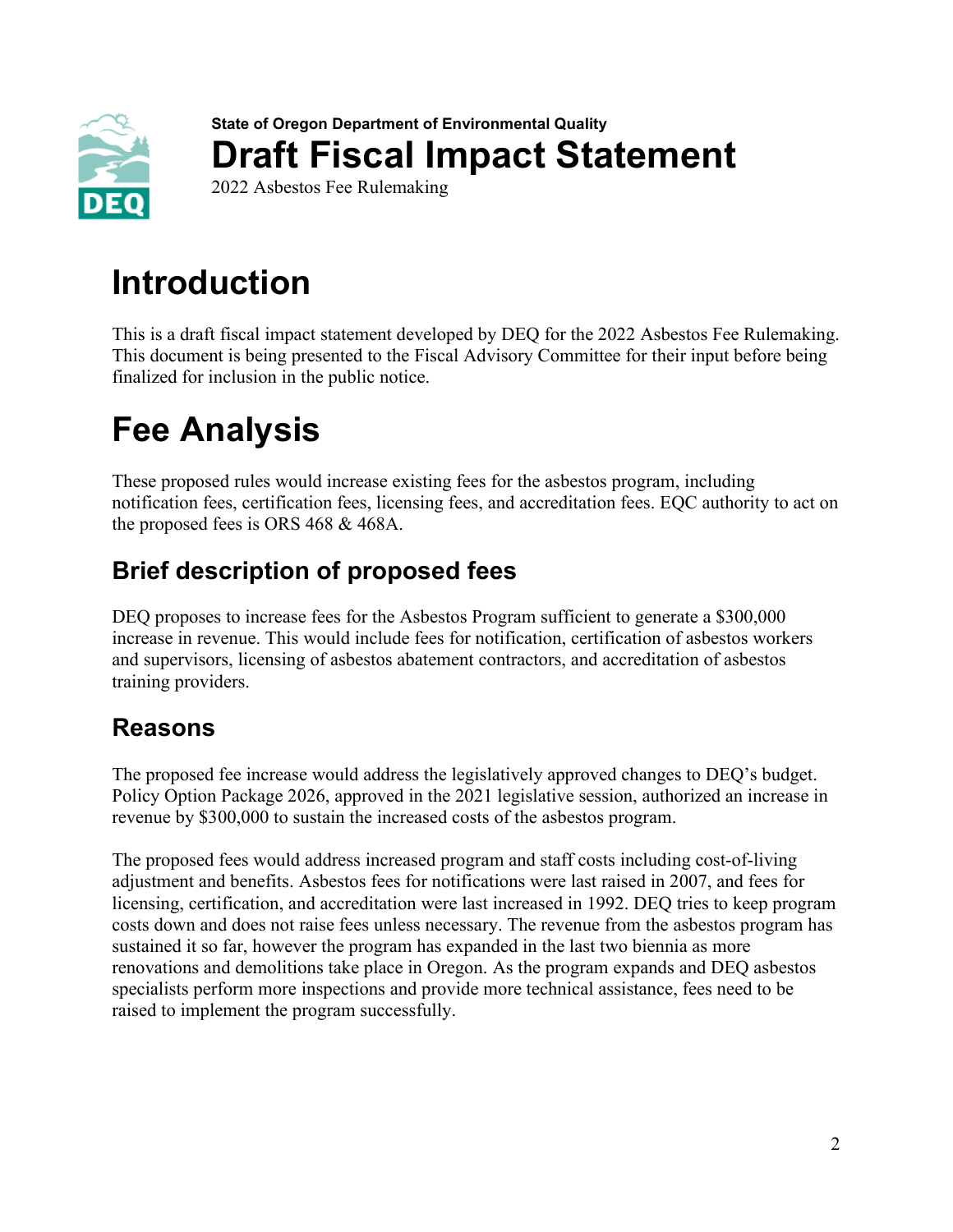

**State of Oregon Department of Environmental Quality Draft Fiscal Impact Statement** 2022 Asbestos Fee Rulemaking

**Introduction**

This is a draft fiscal impact statement developed by DEQ for the 2022 Asbestos Fee Rulemaking. This document is being presented to the Fiscal Advisory Committee for their input before being finalized for inclusion in the public notice.

# **Fee Analysis**

These proposed rules would increase existing fees for the asbestos program, including notification fees, certification fees, licensing fees, and accreditation fees. EQC authority to act on the proposed fees is ORS 468 & 468A.

## **Brief description of proposed fees**

DEQ proposes to increase fees for the Asbestos Program sufficient to generate a \$300,000 increase in revenue. This would include fees for notification, certification of asbestos workers and supervisors, licensing of asbestos abatement contractors, and accreditation of asbestos training providers.

### **Reasons**

The proposed fee increase would address the legislatively approved changes to DEQ's budget. Policy Option Package 2026, approved in the 2021 legislative session, authorized an increase in revenue by \$300,000 to sustain the increased costs of the asbestos program.

The proposed fees would address increased program and staff costs including cost-of-living adjustment and benefits. Asbestos fees for notifications were last raised in 2007, and fees for licensing, certification, and accreditation were last increased in 1992. DEQ tries to keep program costs down and does not raise fees unless necessary. The revenue from the asbestos program has sustained it so far, however the program has expanded in the last two biennia as more renovations and demolitions take place in Oregon. As the program expands and DEQ asbestos specialists perform more inspections and provide more technical assistance, fees need to be raised to implement the program successfully.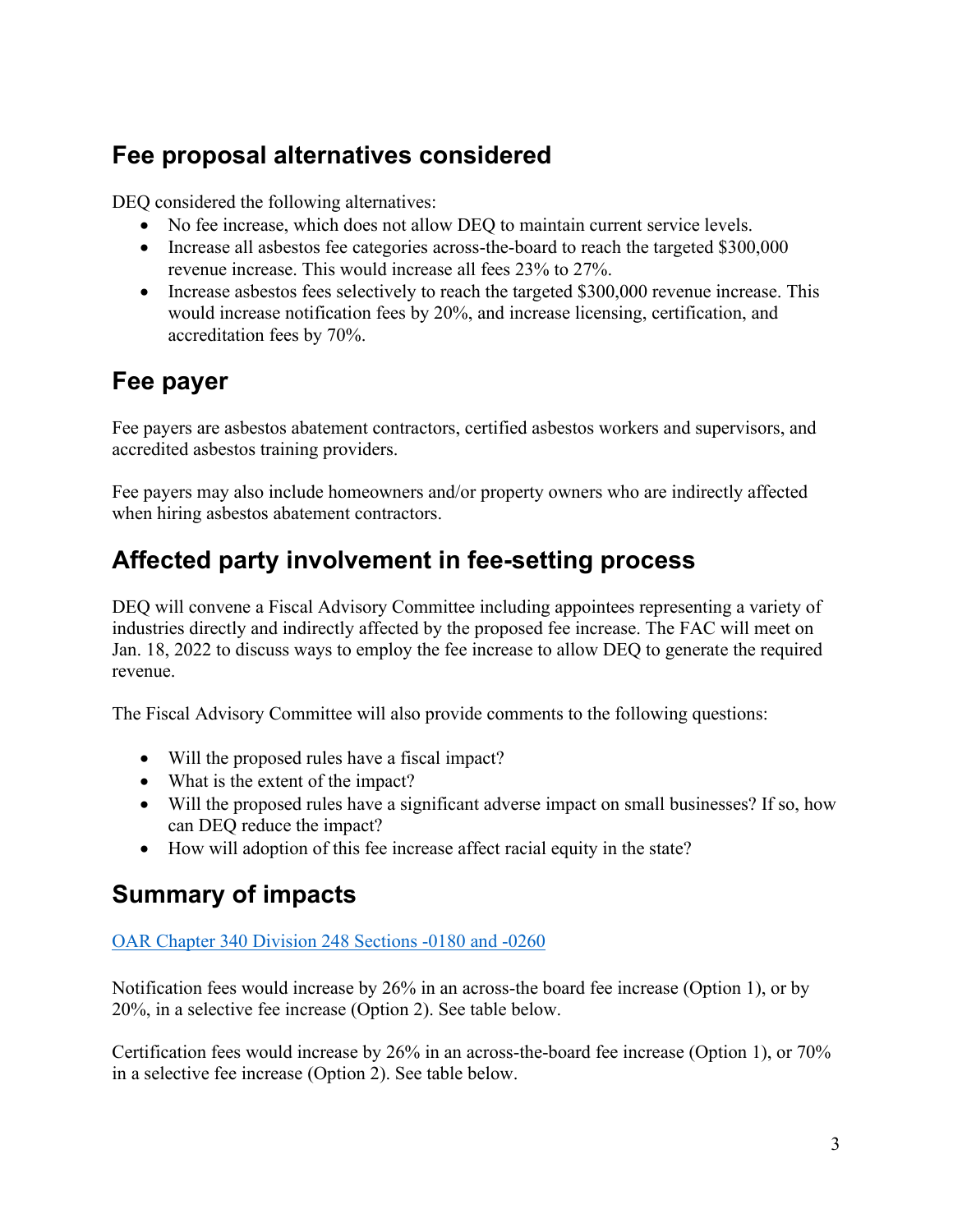## **Fee proposal alternatives considered**

DEQ considered the following alternatives:

- No fee increase, which does not allow DEQ to maintain current service levels.
- Increase all asbestos fee categories across-the-board to reach the targeted \$300,000 revenue increase. This would increase all fees 23% to 27%.
- Increase asbestos fees selectively to reach the targeted \$300,000 revenue increase. This would increase notification fees by 20%, and increase licensing, certification, and accreditation fees by 70%.

## **Fee payer**

Fee payers are asbestos abatement contractors, certified asbestos workers and supervisors, and accredited asbestos training providers.

Fee payers may also include homeowners and/or property owners who are indirectly affected when hiring asbestos abatement contractors.

## **Affected party involvement in fee-setting process**

DEQ will convene a Fiscal Advisory Committee including appointees representing a variety of industries directly and indirectly affected by the proposed fee increase. The FAC will meet on Jan. 18, 2022 to discuss ways to employ the fee increase to allow DEQ to generate the required revenue.

The Fiscal Advisory Committee will also provide comments to the following questions:

- Will the proposed rules have a fiscal impact?
- What is the extent of the impact?
- Will the proposed rules have a significant adverse impact on small businesses? If so, how can DEQ reduce the impact?
- How will adoption of this fee increase affect racial equity in the state?

### **Summary of impacts**

#### [OAR Chapter 340 Division 248 Sections -0180 and -0260](https://secure.sos.state.or.us/oard/displayDivisionRules.action?selectedDivision=1557)

Notification fees would increase by 26% in an across-the board fee increase (Option 1), or by 20%, in a selective fee increase (Option 2). See table below.

Certification fees would increase by 26% in an across-the-board fee increase (Option 1), or 70% in a selective fee increase (Option 2). See table below.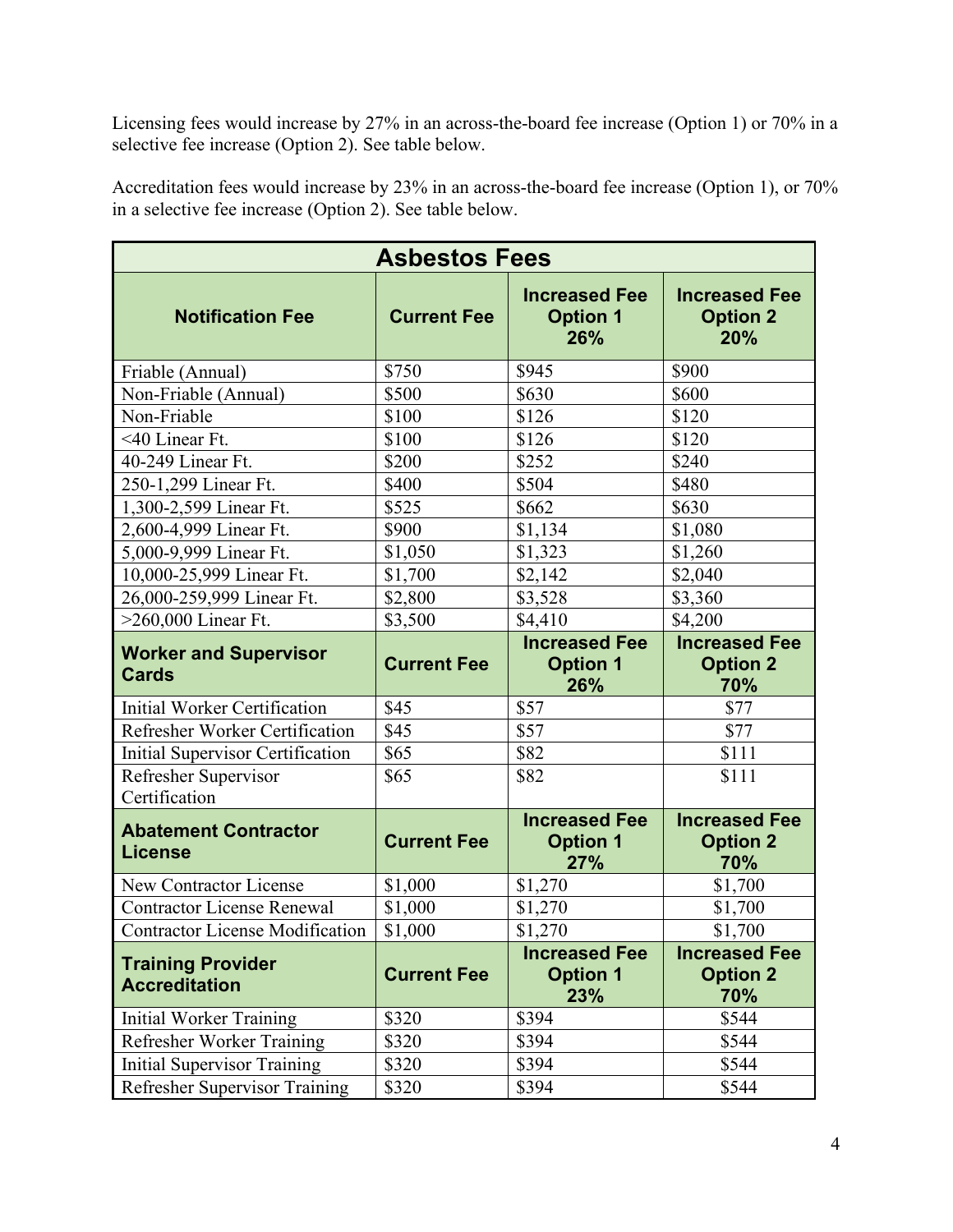Licensing fees would increase by 27% in an across-the-board fee increase (Option 1) or 70% in a selective fee increase (Option 2). See table below.

Accreditation fees would increase by 23% in an across-the-board fee increase (Option 1), or 70% in a selective fee increase (Option 2). See table below.

| <b>Asbestos Fees</b>                             |                    |                                                |                                                |
|--------------------------------------------------|--------------------|------------------------------------------------|------------------------------------------------|
| <b>Notification Fee</b>                          | <b>Current Fee</b> | <b>Increased Fee</b><br><b>Option 1</b><br>26% | <b>Increased Fee</b><br><b>Option 2</b><br>20% |
| Friable (Annual)                                 | \$750              | \$945                                          | \$900                                          |
| Non-Friable (Annual)                             | \$500              | \$630                                          | \$600                                          |
| Non-Friable                                      | \$100              | \$126                                          | \$120                                          |
| <40 Linear Ft.                                   | \$100              | \$126                                          | \$120                                          |
| 40-249 Linear Ft.                                | \$200              | \$252                                          | \$240                                          |
| 250-1,299 Linear Ft.                             | \$400              | \$504                                          | \$480                                          |
| 1,300-2,599 Linear Ft.                           | \$525              | \$662                                          | \$630                                          |
| 2,600-4,999 Linear Ft.                           | \$900              | \$1,134                                        | \$1,080                                        |
| 5,000-9,999 Linear Ft.                           | \$1,050            | \$1,323                                        | \$1,260                                        |
| 10,000-25,999 Linear Ft.                         | \$1,700            | \$2,142                                        | \$2,040                                        |
| 26,000-259,999 Linear Ft.                        | \$2,800            | \$3,528                                        | \$3,360                                        |
| $>260,000$ Linear Ft.                            | \$3,500            | \$4,410                                        | \$4,200                                        |
| <b>Worker and Supervisor</b><br><b>Cards</b>     | <b>Current Fee</b> | <b>Increased Fee</b><br><b>Option 1</b><br>26% | <b>Increased Fee</b><br><b>Option 2</b><br>70% |
| <b>Initial Worker Certification</b>              | \$45               | \$57                                           | \$77                                           |
| Refresher Worker Certification                   | \$45               | \$57                                           | \$77                                           |
| <b>Initial Supervisor Certification</b>          | \$65               | \$82                                           | \$111                                          |
| Refresher Supervisor<br>Certification            | \$65               | \$82                                           | \$111                                          |
| <b>Abatement Contractor</b><br><b>License</b>    | <b>Current Fee</b> | <b>Increased Fee</b><br><b>Option 1</b><br>27% | <b>Increased Fee</b><br><b>Option 2</b><br>70% |
| New Contractor License                           | \$1,000            | \$1,270                                        | \$1,700                                        |
| <b>Contractor License Renewal</b>                | \$1,000            | \$1,270                                        | \$1,700                                        |
| <b>Contractor License Modification</b>           | \$1,000            | \$1,270                                        | \$1,700                                        |
| <b>Training Provider</b><br><b>Accreditation</b> | <b>Current Fee</b> | <b>Increased Fee</b><br><b>Option 1</b><br>23% | <b>Increased Fee</b><br><b>Option 2</b><br>70% |
| <b>Initial Worker Training</b>                   | \$320              | \$394                                          | \$544                                          |
| Refresher Worker Training                        | \$320              | \$394                                          | \$544                                          |
| <b>Initial Supervisor Training</b>               | \$320              | \$394                                          | \$544                                          |
| Refresher Supervisor Training                    | \$320              | \$394                                          | \$544                                          |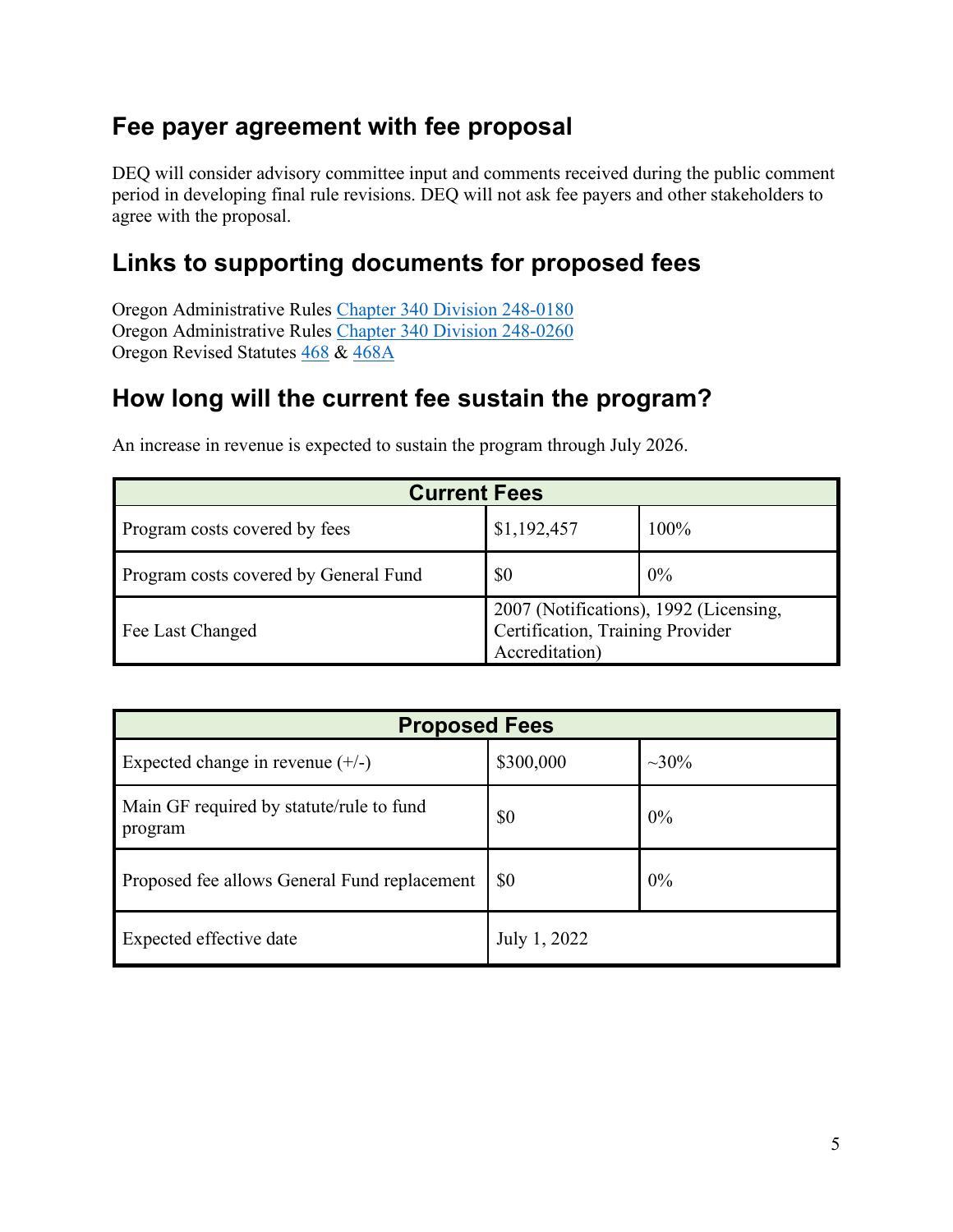### **Fee payer agreement with fee proposal**

DEQ will consider advisory committee input and comments received during the public comment period in developing final rule revisions. DEQ will not ask fee payers and other stakeholders to agree with the proposal.

### **Links to supporting documents for proposed fees**

Oregon Administrative Rules [Chapter 340 Division 248-0180](https://secure.sos.state.or.us/oard/viewSingleRule.action;JSESSIONID_OARD=puT5C40t6imbLTYSDRTqwVJY39ybptX1MDiyo2KgXBxrqwwyBr_x!2121836845?ruleVrsnRsn=252441) Oregon Administrative Rules [Chapter 340 Division 248-0260](https://secure.sos.state.or.us/oard/viewSingleRule.action;JSESSIONID_OARD=puT5C40t6imbLTYSDRTqwVJY39ybptX1MDiyo2KgXBxrqwwyBr_x!2121836845?ruleVrsnRsn=252449) Oregon Revised Statutes [468](https://www.oregonlegislature.gov/bills_laws/ors/ors468.html) & [468A](https://www.oregonlegislature.gov/bills_laws/ors/ors468a.html)

### **How long will the current fee sustain the program?**

| <b>Current Fees</b>                   |                                                                                              |      |  |  |
|---------------------------------------|----------------------------------------------------------------------------------------------|------|--|--|
| Program costs covered by fees         | \$1,192,457                                                                                  | 100% |  |  |
| Program costs covered by General Fund | \$0                                                                                          | 0%   |  |  |
| Fee Last Changed                      | 2007 (Notifications), 1992 (Licensing,<br>Certification, Training Provider<br>Accreditation) |      |  |  |

An increase in revenue is expected to sustain the program through July 2026.

| <b>Proposed Fees</b>                                |              |         |  |  |
|-----------------------------------------------------|--------------|---------|--|--|
| Expected change in revenue $(+/-)$                  | \$300,000    | $~10\%$ |  |  |
| Main GF required by statute/rule to fund<br>program | \$0          | 0%      |  |  |
| Proposed fee allows General Fund replacement        | <b>SO</b>    | 0%      |  |  |
| Expected effective date                             | July 1, 2022 |         |  |  |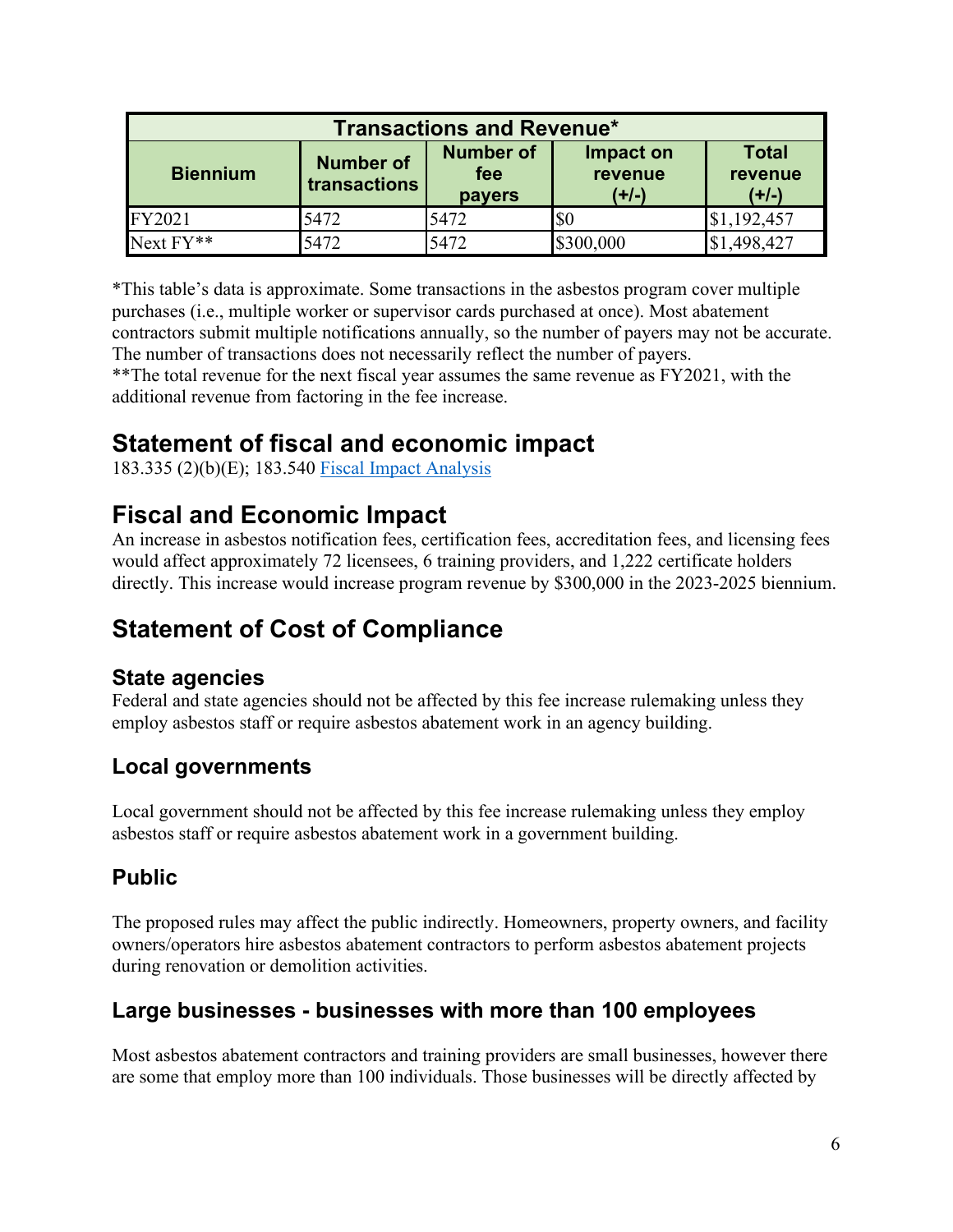| <b>Transactions and Revenue*</b> |                                  |                                          |                                 |                                    |
|----------------------------------|----------------------------------|------------------------------------------|---------------------------------|------------------------------------|
| <b>Biennium</b>                  | <b>Number of</b><br>transactions | <b>Number of</b><br>fee<br><b>payers</b> | Impact on<br>revenue<br>$(+/-)$ | <b>Total</b><br>revenue<br>$(+/-)$ |
| FY2021                           | 5472                             | 5472                                     | \$0                             | 1,192,457                          |
| $Next FY**$                      | 5472                             | 5472                                     | \$300,000                       | ,498,427                           |

\*This table's data is approximate. Some transactions in the asbestos program cover multiple purchases (i.e., multiple worker or supervisor cards purchased at once). Most abatement contractors submit multiple notifications annually, so the number of payers may not be accurate. The number of transactions does not necessarily reflect the number of payers.

\*\*The total revenue for the next fiscal year assumes the same revenue as FY2021, with the additional revenue from factoring in the fee increase.

## **Statement of fiscal and economic impact**

183.335 (2)(b)(E); 183.540 [Fiscal Impact Analysis](http://deqsps/programs/rulemaking/SitePages/Fiscal%20and%20economic%20impact.aspx)

## **Fiscal and Economic Impact**

An increase in asbestos notification fees, certification fees, accreditation fees, and licensing fees would affect approximately 72 licensees, 6 training providers, and 1,222 certificate holders directly. This increase would increase program revenue by \$300,000 in the 2023-2025 biennium.

## **Statement of Cost of Compliance**

### **State agencies**

Federal and state agencies should not be affected by this fee increase rulemaking unless they employ asbestos staff or require asbestos abatement work in an agency building.

### **Local governments**

Local government should not be affected by this fee increase rulemaking unless they employ asbestos staff or require asbestos abatement work in a government building.

### **Public**

The proposed rules may affect the public indirectly. Homeowners, property owners, and facility owners/operators hire asbestos abatement contractors to perform asbestos abatement projects during renovation or demolition activities.

### **Large businesses - businesses with more than 100 employees**

Most asbestos abatement contractors and training providers are small businesses, however there are some that employ more than 100 individuals. Those businesses will be directly affected by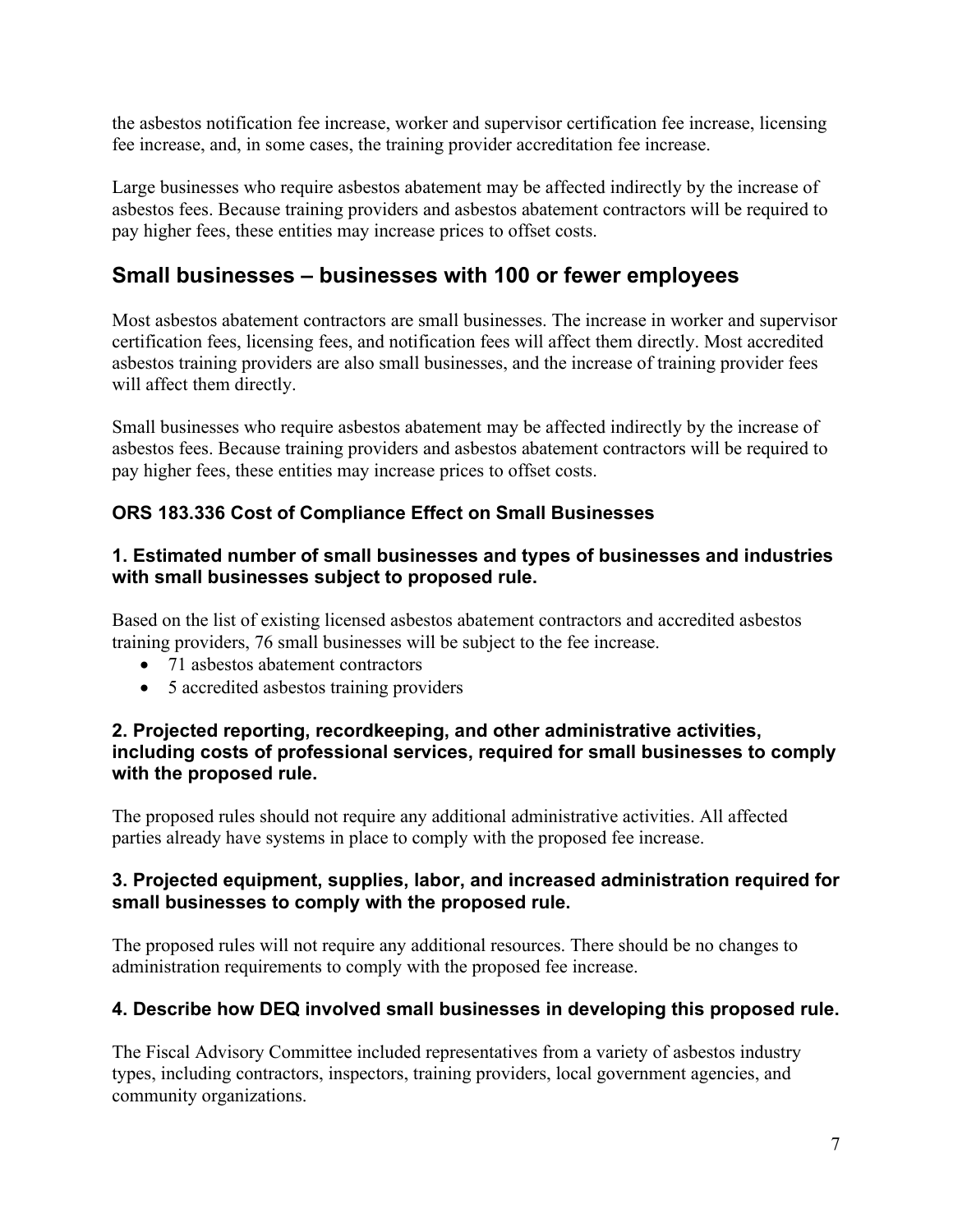the asbestos notification fee increase, worker and supervisor certification fee increase, licensing fee increase, and, in some cases, the training provider accreditation fee increase.

Large businesses who require asbestos abatement may be affected indirectly by the increase of asbestos fees. Because training providers and asbestos abatement contractors will be required to pay higher fees, these entities may increase prices to offset costs.

### **Small businesses – businesses with 100 or fewer employees**

Most asbestos abatement contractors are small businesses. The increase in worker and supervisor certification fees, licensing fees, and notification fees will affect them directly. Most accredited asbestos training providers are also small businesses, and the increase of training provider fees will affect them directly.

Small businesses who require asbestos abatement may be affected indirectly by the increase of asbestos fees. Because training providers and asbestos abatement contractors will be required to pay higher fees, these entities may increase prices to offset costs.

### **ORS 183.336 Cost of Compliance Effect on Small Businesses**

#### **1. Estimated number of small businesses and types of businesses and industries with small businesses subject to proposed rule.**

Based on the list of existing licensed asbestos abatement contractors and accredited asbestos training providers, 76 small businesses will be subject to the fee increase.

- 71 asbestos abatement contractors
- 5 accredited asbestos training providers

#### **2. Projected reporting, recordkeeping, and other administrative activities, including costs of professional services, required for small businesses to comply with the proposed rule.**

The proposed rules should not require any additional administrative activities. All affected parties already have systems in place to comply with the proposed fee increase.

#### **3. Projected equipment, supplies, labor, and increased administration required for small businesses to comply with the proposed rule.**

The proposed rules will not require any additional resources. There should be no changes to administration requirements to comply with the proposed fee increase.

#### **4. Describe how DEQ involved small businesses in developing this proposed rule.**

The Fiscal Advisory Committee included representatives from a variety of asbestos industry types, including contractors, inspectors, training providers, local government agencies, and community organizations.